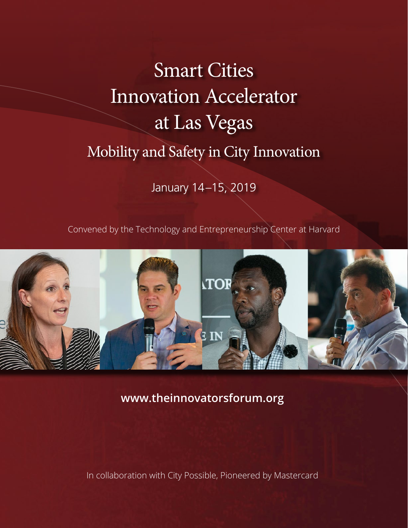# Smart Cities Innovation Accelerator at Las Vegas Mobility and Safety in City Innovation

January 14–15, 2019

Convened by the Technology and Entrepreneurship Center at Harvard



**www.theinnovatorsforum.org**

In collaboration with City Possible, Pioneered by Mastercard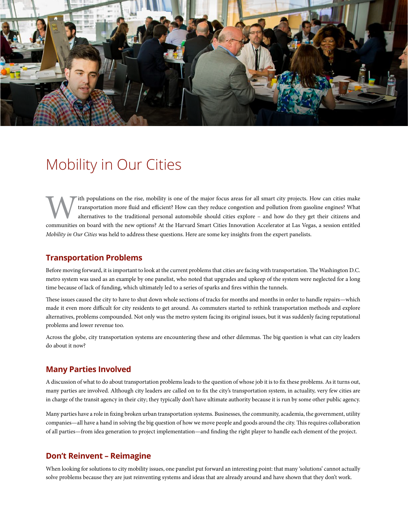

### Mobility in Our Cities

ith populations on the rise, mobility is one of the major focus areas for all smart city projects. How can cities make transportation more fluid and efficient? How can they reduce congestion and pollution from gasoline engines? What alternatives to the traditional personal automobile should cities explore – and how do they get their citizens and communities on board with the new options? At the Harvard Smart Cities Innovation Accelerator at Las Vegas, a session entitled *Mobility in Our Cities* was held to address these questions. Here are some key insights from the expert panelists.

#### **Transportation Problems**

Before moving forward, it is important to look at the current problems that cities are facing with transportation. The Washington D.C. metro system was used as an example by one panelist, who noted that upgrades and upkeep of the system were neglected for a long time because of lack of funding, which ultimately led to a series of sparks and fires within the tunnels.

These issues caused the city to have to shut down whole sections of tracks for months and months in order to handle repairs—which made it even more difficult for city residents to get around. As commuters started to rethink transportation methods and explore alternatives, problems compounded. Not only was the metro system facing its original issues, but it was suddenly facing reputational problems and lower revenue too.

Across the globe, city transportation systems are encountering these and other dilemmas. The big question is what can city leaders do about it now?

#### **Many Parties Involved**

A discussion of what to do about transportation problems leads to the question of whose job it is to fix these problems. As it turns out, many parties are involved. Although city leaders are called on to fix the city's transportation system, in actuality, very few cities are in charge of the transit agency in their city; they typically don't have ultimate authority because it is run by some other public agency.

Many parties have a role in fixing broken urban transportation systems. Businesses, the community, academia, the government, utility companies—all have a hand in solving the big question of how we move people and goods around the city. This requires collaboration of all parties—from idea generation to project implementation—and finding the right player to handle each element of the project.

#### **Don't Reinvent – Reimagine**

When looking for solutions to city mobility issues, one panelist put forward an interesting point: that many 'solutions' cannot actually solve problems because they are just reinventing systems and ideas that are already around and have shown that they don't work.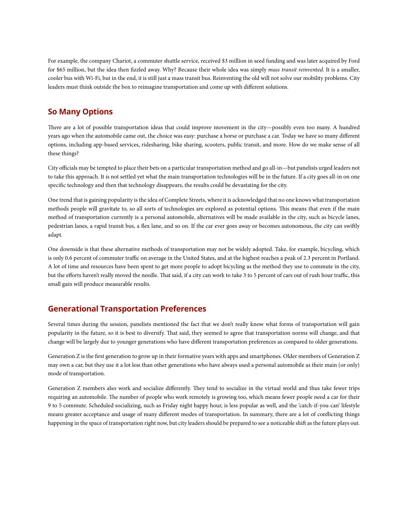For example, the company Chariot, a commuter shuttle service, received \$3 million in seed funding and was later acquired by Ford for \$65 million, but the idea then fizzled away. Why? Because their whole idea was simply *mass transit reinvented*. It is a smaller, cooler bus with Wi-Fi, but in the end, it is still just a mass transit bus. Reinventing the old will not solve our mobility problems. City leaders must think outside the box to reimagine transportation and come up with different solutions.

#### **So Many Options**

There are a lot of possible transportation ideas that could improve movement in the city—possibly even too many. A hundred years ago when the automobile came out, the choice was easy: purchase a horse or purchase a car. Today we have so many different options, including app-based services, ridesharing, bike sharing, scooters, public transit, and more. How do we make sense of all these things?

City officials may be tempted to place their bets on a particular transportation method and go all-in—but panelists urged leaders not to take this approach. It is not settled yet what the main transportation technologies will be in the future. If a city goes all-in on one specific technology and then that technology disappears, the results could be devastating for the city.

One trend that is gaining popularity is the idea of Complete Streets, where it is acknowledged that no one knows what transportation methods people will gravitate to, so all sorts of technologies are explored as potential options. This means that even if the main method of transportation currently is a personal automobile, alternatives will be made available in the city, such as bicycle lanes, pedestrian lanes, a rapid transit bus, a flex lane, and so on. If the car ever goes away or becomes autonomous, the city can swiftly adapt.

One downside is that these alternative methods of transportation may not be widely adopted. Take, for example, bicycling, which is only 0.6 percent of commuter traffic on average in the United States, and at the highest reaches a peak of 2.3 percent in Portland. A lot of time and resources have been spent to get more people to adopt bicycling as the method they use to commute in the city, but the efforts haven't really moved the needle. That said, if a city can work to take 3 to 5 percent of cars out of rush hour traffic, this small gain will produce measurable results.

#### **Generational Transportation Preferences**

Several times during the session, panelists mentioned the fact that we don't really know what forms of transportation will gain popularity in the future, so it is best to diversify. That said, they seemed to agree that transportation norms will change, and that change will be largely due to younger generations who have different transportation preferences as compared to older generations.

Generation Z is the first generation to grow up in their formative years with apps and smartphones. Older members of Generation Z may own a car, but they use it a lot less than other generations who have always used a personal automobile as their main (or only) mode of transportation.

Generation Z members also work and socialize differently. They tend to socialize in the virtual world and thus take fewer trips requiring an automobile. The number of people who work remotely is growing too, which means fewer people need a car for their 9 to 5 commute. Scheduled socializing, such as Friday night happy hour, is less popular as well, and the 'catch-if-you-can' lifestyle means greater acceptance and usage of many different modes of transportation. In summary, there are a lot of conflicting things happening in the space of transportation right now, but city leaders should be prepared to see a noticeable shift as the future plays out.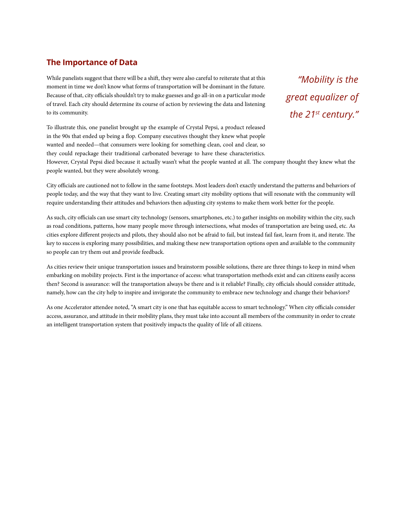#### **The Importance of Data**

While panelists suggest that there will be a shift, they were also careful to reiterate that at this moment in time we don't know what forms of transportation will be dominant in the future. Because of that, city officials shouldn't try to make guesses and go all-in on a particular mode of travel. Each city should determine its course of action by reviewing the data and listening to its community.

To illustrate this, one panelist brought up the example of Crystal Pepsi, a product released in the 90s that ended up being a flop. Company executives thought they knew what people wanted and needed—that consumers were looking for something clean, cool and clear, so they could repackage their traditional carbonated beverage to have these characteristics.

*"Mobility is the great equalizer of the 21st century."*

However, Crystal Pepsi died because it actually wasn't what the people wanted at all. The company thought they knew what the people wanted, but they were absolutely wrong.

City officials are cautioned not to follow in the same footsteps. Most leaders don't exactly understand the patterns and behaviors of people today, and the way that they want to live. Creating smart city mobility options that will resonate with the community will require understanding their attitudes and behaviors then adjusting city systems to make them work better for the people.

As such, city officials can use smart city technology (sensors, smartphones, etc.) to gather insights on mobility within the city, such as road conditions, patterns, how many people move through intersections, what modes of transportation are being used, etc. As cities explore different projects and pilots, they should also not be afraid to fail, but instead fail fast, learn from it, and iterate. The key to success is exploring many possibilities, and making these new transportation options open and available to the community so people can try them out and provide feedback.

As cities review their unique transportation issues and brainstorm possible solutions, there are three things to keep in mind when embarking on mobility projects. First is the importance of access: what transportation methods exist and can citizens easily access then? Second is assurance: will the transportation always be there and is it reliable? Finally, city officials should consider attitude, namely, how can the city help to inspire and invigorate the community to embrace new technology and change their behaviors?

As one Accelerator attendee noted, "A smart city is one that has equitable access to smart technology." When city officials consider access, assurance, and attitude in their mobility plans, they must take into account all members of the community in order to create an intelligent transportation system that positively impacts the quality of life of all citizens.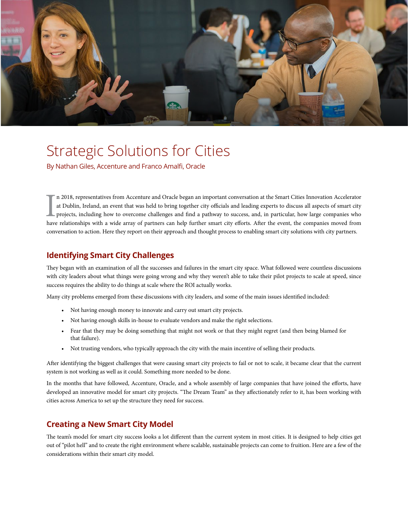

## Strategic Solutions for Cities

By Nathan Giles, Accenture and Franco Amalfi, Oracle

In 2018, representatives from Accenture and Oracle began an important conversation at the Smart Cities Innovation Accelerator at Dublin, Ireland, an event that was held to bring together city officials and leading experts n 2018, representatives from Accenture and Oracle began an important conversation at the Smart Cities Innovation Accelerator at Dublin, Ireland, an event that was held to bring together city officials and leading experts to discuss all aspects of smart city projects, including how to overcome challenges and find a pathway to success, and, in particular, how large companies who conversation to action. Here they report on their approach and thought process to enabling smart city solutions with city partners.

#### **Identifying Smart City Challenges**

They began with an examination of all the successes and failures in the smart city space. What followed were countless discussions with city leaders about what things were going wrong and why they weren't able to take their pilot projects to scale at speed, since success requires the ability to do things at scale where the ROI actually works.

Many city problems emerged from these discussions with city leaders, and some of the main issues identified included:

- Not having enough money to innovate and carry out smart city projects.
- Not having enough skills in-house to evaluate vendors and make the right selections.
- Fear that they may be doing something that might not work or that they might regret (and then being blamed for that failure).
- Not trusting vendors, who typically approach the city with the main incentive of selling their products.

After identifying the biggest challenges that were causing smart city projects to fail or not to scale, it became clear that the current system is not working as well as it could. Something more needed to be done.

In the months that have followed, Accenture, Oracle, and a whole assembly of large companies that have joined the efforts, have developed an innovative model for smart city projects. "The Dream Team" as they affectionately refer to it, has been working with cities across America to set up the structure they need for success.

#### **Creating a New Smart City Model**

The team's model for smart city success looks a lot different than the current system in most cities. It is designed to help cities get out of "pilot hell" and to create the right environment where scalable, sustainable projects can come to fruition. Here are a few of the considerations within their smart city model.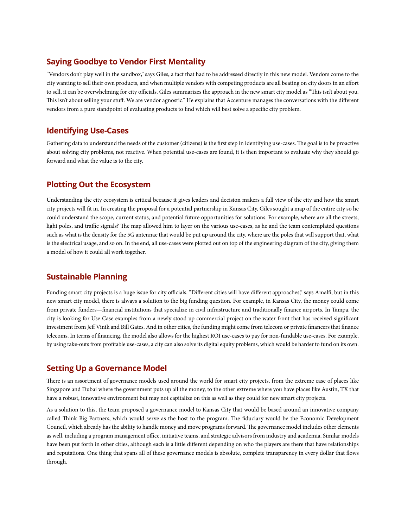#### **Saying Goodbye to Vendor First Mentality**

"Vendors don't play well in the sandbox," says Giles, a fact that had to be addressed directly in this new model. Vendors come to the city wanting to sell their own products, and when multiple vendors with competing products are all beating on city doors in an effort to sell, it can be overwhelming for city officials. Giles summarizes the approach in the new smart city model as "This isn't about you. This isn't about selling your stuff. We are vendor agnostic." He explains that Accenture manages the conversations with the different vendors from a pure standpoint of evaluating products to find which will best solve a specific city problem.

#### **Identifying Use-Cases**

Gathering data to understand the needs of the customer (citizens) is the first step in identifying use-cases. The goal is to be proactive about solving city problems, not reactive. When potential use-cases are found, it is then important to evaluate why they should go forward and what the value is to the city.

#### **Plotting Out the Ecosystem**

Understanding the city ecosystem is critical because it gives leaders and decision makers a full view of the city and how the smart city projects will fit in. In creating the proposal for a potential partnership in Kansas City, Giles sought a map of the entire city so he could understand the scope, current status, and potential future opportunities for solutions. For example, where are all the streets, light poles, and traffic signals? The map allowed him to layer on the various use-cases, as he and the team contemplated questions such as what is the density for the 5G antennae that would be put up around the city, where are the poles that will support that, what is the electrical usage, and so on. In the end, all use-cases were plotted out on top of the engineering diagram of the city, giving them a model of how it could all work together.

#### **Sustainable Planning**

Funding smart city projects is a huge issue for city officials. "Different cities will have different approaches," says Amalfi, but in this new smart city model, there is always a solution to the big funding question. For example, in Kansas City, the money could come from private funders—financial institutions that specialize in civil infrastructure and traditionally finance airports. In Tampa, the city is looking for Use Case examples from a newly stood up commercial project on the water front that has received significant investment from Jeff Vinik and Bill Gates. And in other cities, the funding might come from telecom or private financers that finance telecoms. In terms of financing, the model also allows for the highest ROI use-cases to pay for non-fundable use-cases. For example, by using take-outs from profitable use-cases, a city can also solve its digital equity problems, which would be harder to fund on its own.

#### **Setting Up a Governance Model**

There is an assortment of governance models used around the world for smart city projects, from the extreme case of places like Singapore and Dubai where the government puts up all the money, to the other extreme where you have places like Austin, TX that have a robust, innovative environment but may not capitalize on this as well as they could for new smart city projects.

As a solution to this, the team proposed a governance model to Kansas City that would be based around an innovative company called Think Big Partners, which would serve as the host to the program. The fiduciary would be the Economic Development Council, which already has the ability to handle money and move programs forward. The governance model includes other elements as well, including a program management office, initiative teams, and strategic advisors from industry and academia. Similar models have been put forth in other cities, although each is a little different depending on who the players are there that have relationships and reputations. One thing that spans all of these governance models is absolute, complete transparency in every dollar that flows through.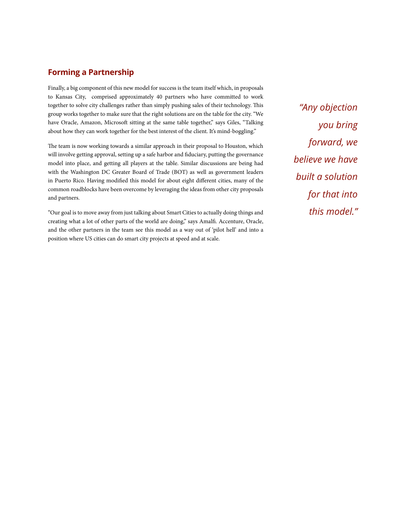#### **Forming a Partnership**

Finally, a big component of this new model for success is the team itself which, in proposals to Kansas City, comprised approximately 40 partners who have committed to work together to solve city challenges rather than simply pushing sales of their technology. This group works together to make sure that the right solutions are on the table for the city. "We have Oracle, Amazon, Microsoft sitting at the same table together," says Giles, "Talking about how they can work together for the best interest of the client. It's mind-boggling."

The team is now working towards a similar approach in their proposal to Houston, which will involve getting approval, setting up a safe harbor and fiduciary, putting the governance model into place, and getting all players at the table. Similar discussions are being had with the Washington DC Greater Board of Trade (BOT) as well as government leaders in Puerto Rico. Having modified this model for about eight different cities, many of the common roadblocks have been overcome by leveraging the ideas from other city proposals and partners.

"Our goal is to move away from just talking about Smart Cities to actually doing things and creating what a lot of other parts of the world are doing," says Amalfi. Accenture, Oracle, and the other partners in the team see this model as a way out of 'pilot hell' and into a position where US cities can do smart city projects at speed and at scale.

*"Any objection you bring forward, we believe we have built a solution for that into this model."*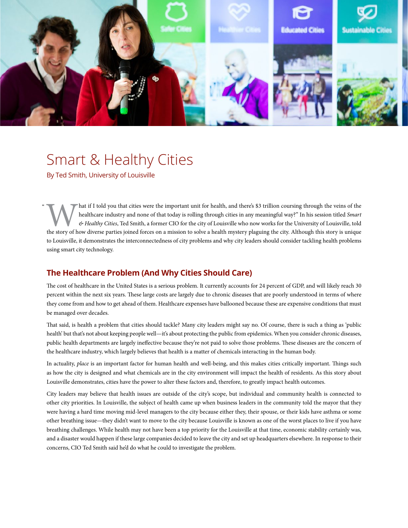

# Smart & Healthy Cities

By Ted Smith, University of Louisville

 $\mathfrak{c}$ 

Mat if I told you that cities were the important unit for health, and there's \$3 trillion coursing through the veins of the healthcare industry and none of that today is rolling through cities in any meaningful way?" In hi healthcare industry and none of that today is rolling through cities in any meaningful way?" In his session titled *Smart & Healthy Cities*, Ted Smith, a former CIO for the city of Louisville who now works for the University of Louisville, told the story of how diverse parties joined forces on a mission to solve a health mystery plaguing the city. Although this story is unique to Louisville, it demonstrates the interconnectedness of city problems and why city leaders should consider tackling health problems using smart city technology.

#### **The Healthcare Problem (And Why Cities Should Care)**

The cost of healthcare in the United States is a serious problem. It currently accounts for 24 percent of GDP, and will likely reach 30 percent within the next six years. These large costs are largely due to chronic diseases that are poorly understood in terms of where they come from and how to get ahead of them. Healthcare expenses have ballooned because these are expensive conditions that must be managed over decades.

That said, is health a problem that cities should tackle? Many city leaders might say no. Of course, there is such a thing as 'public health' but that's not about keeping people well—it's about protecting the public from epidemics. When you consider chronic diseases, public health departments are largely ineffective because they're not paid to solve those problems. These diseases are the concern of the healthcare industry, which largely believes that health is a matter of chemicals interacting in the human body.

In actuality, *place* is an important factor for human health and well-being, and this makes cities critically important. Things such as how the city is designed and what chemicals are in the city environment will impact the health of residents. As this story about Louisville demonstrates, cities have the power to alter these factors and, therefore, to greatly impact health outcomes.

City leaders may believe that health issues are outside of the city's scope, but individual and community health is connected to other city priorities. In Louisville, the subject of health came up when business leaders in the community told the mayor that they were having a hard time moving mid-level managers to the city because either they, their spouse, or their kids have asthma or some other breathing issue—they didn't want to move to the city because Louisville is known as one of the worst places to live if you have breathing challenges. While health may not have been a top priority for the Louisville at that time, economic stability certainly was, and a disaster would happen if these large companies decided to leave the city and set up headquarters elsewhere. In response to their concerns, CIO Ted Smith said he'd do what he could to investigate the problem.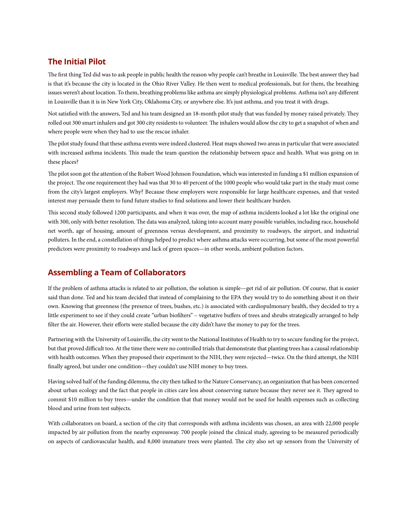#### **The Initial Pilot**

The first thing Ted did was to ask people in public health the reason why people can't breathe in Louisville. The best answer they had is that it's because the city is located in the Ohio River Valley. He then went to medical professionals, but for them, the breathing issues weren't about location. To them, breathing problems like asthma are simply physiological problems. Asthma isn't any different in Louisville than it is in New York City, Oklahoma City, or anywhere else. It's just asthma, and you treat it with drugs.

Not satisfied with the answers, Ted and his team designed an 18-month pilot study that was funded by money raised privately. They rolled out 300 smart inhalers and got 300 city residents to volunteer. The inhalers would allow the city to get a snapshot of when and where people were when they had to use the rescue inhaler.

The pilot study found that these asthma events were indeed clustered. Heat maps showed two areas in particular that were associated with increased asthma incidents. This made the team question the relationship between space and health. What was going on in these places?

The pilot soon got the attention of the Robert Wood Johnson Foundation, which was interested in funding a \$1 million expansion of the project. The one requirement they had was that 30 to 40 percent of the 1000 people who would take part in the study must come from the city's largest employers. Why? Because these employers were responsible for large healthcare expenses, and that vested interest may persuade them to fund future studies to find solutions and lower their healthcare burden.

This second study followed 1200 participants, and when it was over, the map of asthma incidents looked a lot like the original one with 300, only with better resolution. The data was analyzed, taking into account many possible variables, including race, household net worth, age of housing, amount of greenness versus development, and proximity to roadways, the airport, and industrial polluters. In the end, a constellation of things helped to predict where asthma attacks were occurring, but some of the most powerful predictors were proximity to roadways and lack of green spaces—in other words, ambient pollution factors.

#### **Assembling a Team of Collaborators**

If the problem of asthma attacks is related to air pollution, the solution is simple—get rid of air pollution. Of course, that is easier said than done. Ted and his team decided that instead of complaining to the EPA they would try to do something about it on their own. Knowing that greenness (the presence of trees, bushes, etc.) is associated with cardiopulmonary health, they decided to try a little experiment to see if they could create "urban biofilters" – vegetative buffers of trees and shrubs strategically arranged to help filter the air. However, their efforts were stalled because the city didn't have the money to pay for the trees.

Partnering with the University of Louisville, the city went to the National Institutes of Health to try to secure funding for the project, but that proved difficult too. At the time there were no controlled trials that demonstrate that planting trees has a causal relationship with health outcomes. When they proposed their experiment to the NIH, they were rejected—twice. On the third attempt, the NIH finally agreed, but under one condition—they couldn't use NIH money to buy trees.

Having solved half of the funding dilemma, the city then talked to the Nature Conservancy, an organization that has been concerned about urban ecology and the fact that people in cities care less about conserving nature because they never see it. They agreed to commit \$10 million to buy trees—under the condition that that money would not be used for health expenses such as collecting blood and urine from test subjects.

With collaborators on board, a section of the city that corresponds with asthma incidents was chosen, an area with 22,000 people impacted by air pollution from the nearby expressway. 700 people joined the clinical study, agreeing to be measured periodically on aspects of cardiovascular health, and 8,000 immature trees were planted. The city also set up sensors from the University of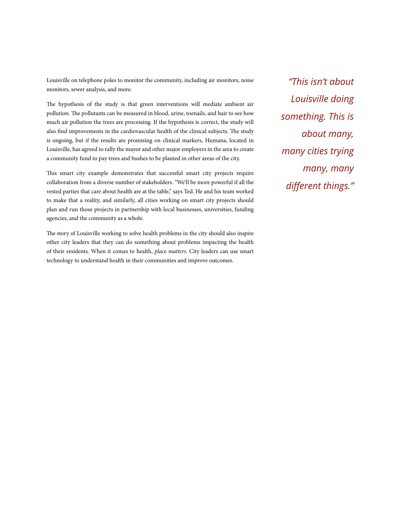Louisville on telephone poles to monitor the community, including air monitors, noise monitors, sewer analysis, and more.

The hypothesis of the study is that green interventions will mediate ambient air pollution. The pollutants can be measured in blood, urine, toenails, and hair to see how much air pollution the trees are processing. If the hypothesis is correct, the study will also find improvements in the cardiovascular health of the clinical subjects. The study is ongoing, but if the results are promising on clinical markers, Humana, located in Louisville, has agreed to rally the mayor and other major employers in the area to create a community fund to pay trees and bushes to be planted in other areas of the city.

This smart city example demonstrates that successful smart city projects require collaboration from a diverse number of stakeholders. "We'll be more powerful if all the vested parties that care about health are at the table," says Ted. He and his team worked to make that a reality, and similarly, all cities working on smart city projects should plan and run those projects in partnership with local businesses, universities, funding agencies, and the community as a whole.

The story of Louisville working to solve health problems in the city should also inspire other city leaders that they can do something about problems impacting the health of their residents. When it comes to health, *place matters*. City leaders can use smart technology to understand health in their communities and improve outcomes.

*"This isn't about Louisville doing something. This is about many, many cities trying many, many different things."*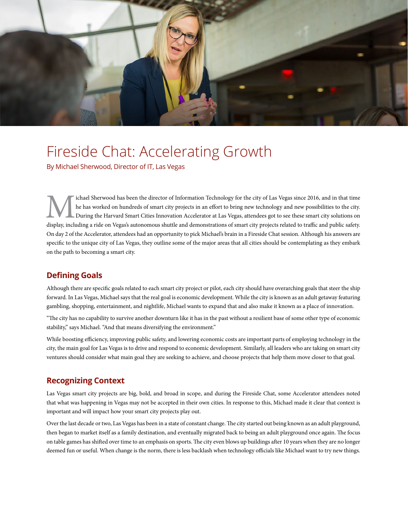

## Fireside Chat: Accelerating Growth

By Michael Sherwood, Director of IT, Las Vegas

Ichael Sherwood has been the director of Information Technology for the city of Las Vegas since 2016, and in that time<br>the has worked on hundreds of smart city projects in an effort to bring new technology and new possibil he has worked on hundreds of smart city projects in an effort to bring new technology and new possibilities to the city. During the Harvard Smart Cities Innovation Accelerator at Las Vegas, attendees got to see these smart city solutions on display, including a ride on Vegas's autonomous shuttle and demonstrations of smart city projects related to traffic and public safety. On day 2 of the Accelerator, attendees had an opportunity to pick Michael's brain in a Fireside Chat session. Although his answers are specific to the unique city of Las Vegas, they outline some of the major areas that all cities should be contemplating as they embark on the path to becoming a smart city.

#### **Defining Goals**

Although there are specific goals related to each smart city project or pilot, each city should have overarching goals that steer the ship forward. In Las Vegas, Michael says that the real goal is economic development. While the city is known as an adult getaway featuring gambling, shopping, entertainment, and nightlife, Michael wants to expand that and also make it known as a place of innovation.

"The city has no capability to survive another downturn like it has in the past without a resilient base of some other type of economic stability," says Michael. "And that means diversifying the environment."

While boosting efficiency, improving public safety, and lowering economic costs are important parts of employing technology in the city, the main goal for Las Vegas is to drive and respond to economic development. Similarly, all leaders who are taking on smart city ventures should consider what main goal they are seeking to achieve, and choose projects that help them move closer to that goal.

#### **Recognizing Context**

Las Vegas smart city projects are big, bold, and broad in scope, and during the Fireside Chat, some Accelerator attendees noted that what was happening in Vegas may not be accepted in their own cities. In response to this, Michael made it clear that context is important and will impact how your smart city projects play out.

Over the last decade or two, Las Vegas has been in a state of constant change. The city started out being known as an adult playground, then began to market itself as a family destination, and eventually migrated back to being an adult playground once again. The focus on table games has shifted over time to an emphasis on sports. The city even blows up buildings after 10 years when they are no longer deemed fun or useful. When change is the norm, there is less backlash when technology officials like Michael want to try new things.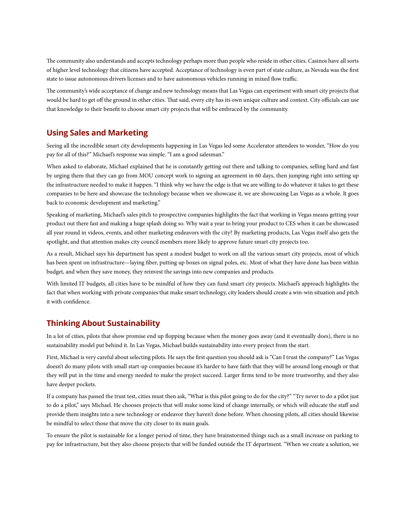The community also understands and accepts technology perhaps more than people who reside in other cities. Casinos have all sorts of higher level technology that citizens have accepted. Acceptance of technology is even part of state culture, as Nevada was the first state to issue autonomous drivers licenses and to have autonomous vehicles running in mixed flow traffic.

The community's wide acceptance of change and new technology means that Las Vegas can experiment with smart city projects that would be hard to get off the ground in other cities. That said, every city has its own unique culture and context. City officials can use that knowledge to their benefit to choose smart city projects that will be embraced by the community.

#### **Using Sales and Marketing**

Seeing all the incredible smart city developments happening in Las Vegas led some Accelerator attendees to wonder, "How do you pay for all of this?" Michael's response was simple. "I am a good salesman."

When asked to elaborate, Michael explained that he is constantly getting out there and talking to companies, selling hard and fast by urging them that they can go from MOU concept work to signing an agreement in 60 days, then jumping right into setting up the infrastructure needed to make it happen. "I think why we have the edge is that we are willing to do whatever it takes to get these companies to be here and showcase the technology because when we showcase it, we are showcasing Las Vegas as a whole. It goes back to economic development and marketing."

Speaking of marketing, Michael's sales pitch to prospective companies highlights the fact that working in Vegas means getting your product out there fast and making a huge splash doing so. Why wait a year to bring your product to CES when it can be showcased all year round in videos, events, and other marketing endeavors with the city? By marketing products, Las Vegas itself also gets the spotlight, and that attention makes city council members more likely to approve future smart city projects too.

As a result, Michael says his department has spent a modest budget to work on all the various smart city projects, most of which has been spent on infrastructure—laying fiber, putting up boxes on signal poles, etc. Most of what they have done has been within budget, and when they save money, they reinvest the savings into new companies and products.

With limited IT budgets, all cities have to be mindful of how they can fund smart city projects. Michael's approach highlights the fact that when working with private companies that make smart technology, city leaders should create a win-win situation and pitch it with confidence.

#### **Thinking About Sustainability**

In a lot of cities, pilots that show promise end up flopping because when the money goes away (and it eventually does), there is no sustainability model put behind it. In Las Vegas, Michael builds sustainability into every project from the start.

First, Michael is very careful about selecting pilots. He says the first question you should ask is "Can I trust the company?" Las Vegas doesn't do many pilots with small start-up companies because it's harder to have faith that they will be around long enough or that they will put in the time and energy needed to make the project succeed. Larger firms tend to be more trustworthy, and they also have deeper pockets.

If a company has passed the trust test, cities must then ask, "What is this pilot going to do for the city?" "Try never to do a pilot just to do a pilot," says Michael. He chooses projects that will make some kind of change internally, or which will educate the staff and provide them insights into a new technology or endeavor they haven't done before. When choosing pilots, all cities should likewise be mindful to select those that move the city closer to its main goals.

To ensure the pilot is sustainable for a longer period of time, they have brainstormed things such as a small increase on parking to pay for infrastructure, but they also choose projects that will be funded outside the IT department. "When we create a solution, we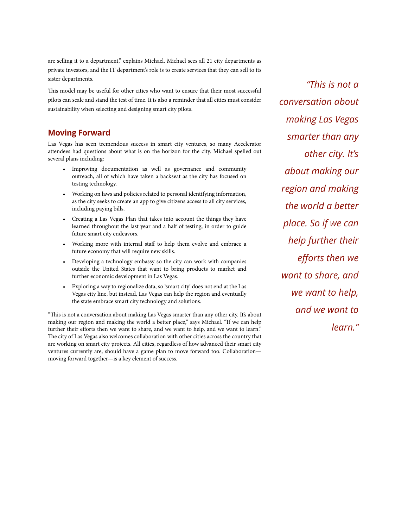are selling it to a department," explains Michael. Michael sees all 21 city departments as private investors, and the IT department's role is to create services that they can sell to its sister departments.

This model may be useful for other cities who want to ensure that their most successful pilots can scale and stand the test of time. It is also a reminder that all cities must consider sustainability when selecting and designing smart city pilots.

#### **Moving Forward**

Las Vegas has seen tremendous success in smart city ventures, so many Accelerator attendees had questions about what is on the horizon for the city. Michael spelled out several plans including:

- Improving documentation as well as governance and community outreach, all of which have taken a backseat as the city has focused on testing technology.
- Working on laws and policies related to personal identifying information, as the city seeks to create an app to give citizens access to all city services, including paying bills.
- Creating a Las Vegas Plan that takes into account the things they have learned throughout the last year and a half of testing, in order to guide future smart city endeavors.
- Working more with internal staff to help them evolve and embrace a future economy that will require new skills.
- Developing a technology embassy so the city can work with companies outside the United States that want to bring products to market and further economic development in Las Vegas.
- Exploring a way to regionalize data, so 'smart city' does not end at the Las Vegas city line, but instead, Las Vegas can help the region and eventually the state embrace smart city technology and solutions.

"This is not a conversation about making Las Vegas smarter than any other city. It's about making our region and making the world a better place," says Michael. "If we can help further their efforts then we want to share, and we want to help, and we want to learn." The city of Las Vegas also welcomes collaboration with other cities across the country that are working on smart city projects. All cities, regardless of how advanced their smart city ventures currently are, should have a game plan to move forward too. Collaboration moving forward together—is a key element of success.

*"This is not a conversation about making Las Vegas smarter than any other city. It's about making our region and making the world a better place. So if we can help further their efforts then we want to share, and we want to help, and we want to learn."*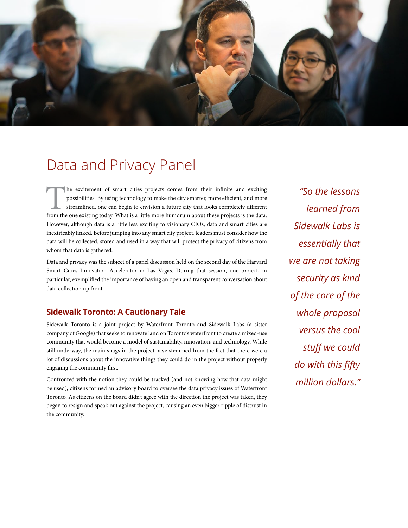

### Data and Privacy Panel

The excitement of smart cities projects comes from their infinite and exciting possibilities. By using technology to make the city smarter, more efficient, and more streamlined, one can begin to envision a future city that possibilities. By using technology to make the city smarter, more efficient, and more streamlined, one can begin to envision a future city that looks completely different However, although data is a little less exciting to visionary CIOs, data and smart cities are inextricably linked. Before jumping into any smart city project, leaders must consider how the data will be collected, stored and used in a way that will protect the privacy of citizens from whom that data is gathered.

Data and privacy was the subject of a panel discussion held on the second day of the Harvard Smart Cities Innovation Accelerator in Las Vegas. During that session, one project, in particular, exemplified the importance of having an open and transparent conversation about data collection up front.

#### **Sidewalk Toronto: A Cautionary Tale**

Sidewalk Toronto is a joint project by Waterfront Toronto and Sidewalk Labs (a sister company of Google) that seeks to renovate land on Toronto's waterfront to create a mixed-use community that would become a model of sustainability, innovation, and technology. While still underway, the main snags in the project have stemmed from the fact that there were a lot of discussions about the innovative things they could do in the project without properly engaging the community first.

Confronted with the notion they could be tracked (and not knowing how that data might be used), citizens formed an advisory board to oversee the data privacy issues of Waterfront Toronto. As citizens on the board didn't agree with the direction the project was taken, they began to resign and speak out against the project, causing an even bigger ripple of distrust in the community.

*"So the lessons learned from Sidewalk Labs is essentially that we are not taking security as kind of the core of the whole proposal versus the cool stuff we could do with this fifty million dollars."*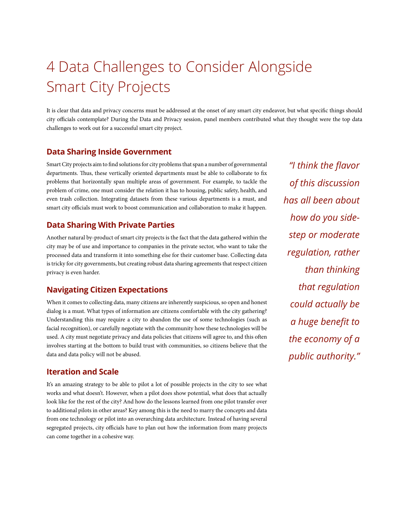# 4 Data Challenges to Consider Alongside Smart City Projects

It is clear that data and privacy concerns must be addressed at the onset of any smart city endeavor, but what specific things should city officials contemplate? During the Data and Privacy session, panel members contributed what they thought were the top data challenges to work out for a successful smart city project.

#### **Data Sharing Inside Government**

Smart City projects aim to find solutions for city problems that span a number of governmental departments. Thus, these vertically oriented departments must be able to collaborate to fix problems that horizontally span multiple areas of government. For example, to tackle the problem of crime, one must consider the relation it has to housing, public safety, health, and even trash collection. Integrating datasets from these various departments is a must, and smart city officials must work to boost communication and collaboration to make it happen.

#### **Data Sharing With Private Parties**

Another natural by-product of smart city projects is the fact that the data gathered within the city may be of use and importance to companies in the private sector, who want to take the processed data and transform it into something else for their customer base. Collecting data is tricky for city governments, but creating robust data sharing agreements that respect citizen privacy is even harder.

#### **Navigating Citizen Expectations**

When it comes to collecting data, many citizens are inherently suspicious, so open and honest dialog is a must. What types of information are citizens comfortable with the city gathering? Understanding this may require a city to abandon the use of some technologies (such as facial recognition), or carefully negotiate with the community how these technologies will be used. A city must negotiate privacy and data policies that citizens will agree to, and this often involves starting at the bottom to build trust with communities, so citizens believe that the data and data policy will not be abused.

#### **Iteration and Scale**

It's an amazing strategy to be able to pilot a lot of possible projects in the city to see what works and what doesn't. However, when a pilot does show potential, what does that actually look like for the rest of the city? And how do the lessons learned from one pilot transfer over to additional pilots in other areas? Key among this is the need to marry the concepts and data from one technology or pilot into an overarching data architecture. Instead of having several segregated projects, city officials have to plan out how the information from many projects can come together in a cohesive way.

*"I think the flavor of this discussion has all been about how do you sidestep or moderate regulation, rather than thinking that regulation could actually be a huge benefit to the economy of a public authority."*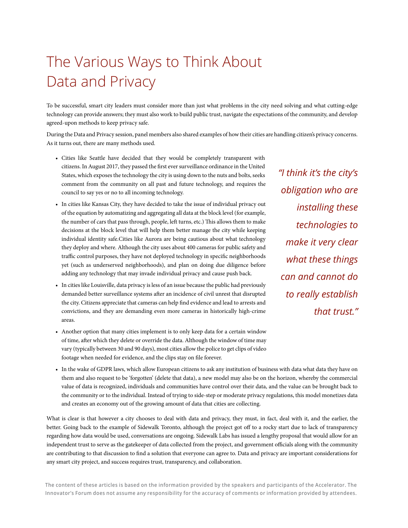# The Various Ways to Think About Data and Privacy

To be successful, smart city leaders must consider more than just what problems in the city need solving and what cutting-edge technology can provide answers; they must also work to build public trust, navigate the expectations of the community, and develop agreed-upon methods to keep privacy safe.

During the Data and Privacy session, panel members also shared examples of how their cities are handling citizen's privacy concerns. As it turns out, there are many methods used.

- Cities like Seattle have decided that they would be completely transparent with citizens. In August 2017, they passed the first ever surveillance ordinance in the United States, which exposes the technology the city is using down to the nuts and bolts, seeks comment from the community on all past and future technology, and requires the council to say yes or no to all incoming technology.
- In cities like Kansas City, they have decided to take the issue of individual privacy out of the equation by automatizing and aggregating all data at the block level (for example, the number of cars that pass through, people, left turns, etc.) This allows them to make decisions at the block level that will help them better manage the city while keeping individual identity safe.Cities like Aurora are being cautious about what technology they deploy and where. Although the city uses about 400 cameras for public safety and traffic control purposes, they have not deployed technology in specific neighborhoods yet (such as underserved neighborhoods), and plan on doing due diligence before adding any technology that may invade individual privacy and cause push back.
- In cities like Louisville, data privacy is less of an issue because the public had previously demanded better surveillance systems after an incidence of civil unrest that disrupted the city. Citizens appreciate that cameras can help find evidence and lead to arrests and convictions, and they are demanding even more cameras in historically high-crime areas.
- Another option that many cities implement is to only keep data for a certain window of time, after which they delete or override the data. Although the window of time may vary (typically between 30 and 90 days), most cities allow the police to get clips of video footage when needed for evidence, and the clips stay on file forever.
- *"I think it's the city's obligation who are installing these technologies to make it very clear what these things can and cannot do to really establish that trust."*
- In the wake of GDPR laws, which allow European citizens to ask any institution of business with data what data they have on them and also request to be 'forgotten' (delete that data), a new model may also be on the horizon, whereby the commercial value of data is recognized, individuals and communities have control over their data, and the value can be brought back to the community or to the individual. Instead of trying to side-step or moderate privacy regulations, this model monetizes data and creates an economy out of the growing amount of data that cities are collecting.

What is clear is that however a city chooses to deal with data and privacy, they must, in fact, deal with it, and the earlier, the better. Going back to the example of Sidewalk Toronto, although the project got off to a rocky start due to lack of transparency regarding how data would be used, conversations are ongoing. Sidewalk Labs has issued a lengthy proposal that would allow for an independent trust to serve as the gatekeeper of data collected from the project, and government officials along with the community are contributing to that discussion to find a solution that everyone can agree to. Data and privacy are important considerations for any smart city project, and success requires trust, transparency, and collaboration.

**The content of these articles is based on the information provided by the speakers and participants of the Accelerator. The Innovator's Forum does not assume any responsibility for the accuracy of comments or information provided by attendees.**